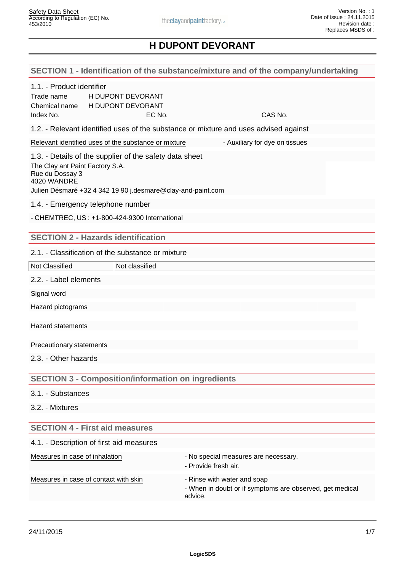| 1.1. - Product identifier<br>H DUPONT DEVORANT<br>Trade name<br>H DUPONT DEVORANT<br>Chemical name<br>CAS No.<br>Index No.<br>EC No.<br>1.2. - Relevant identified uses of the substance or mixture and uses advised against<br>Relevant identified uses of the substance or mixture<br>- Auxiliary for dye on tissues<br>1.3. - Details of the supplier of the safety data sheet<br>The Clay ant Paint Factory S.A.<br>Rue du Dossay 3<br>4020 WANDRE<br>Julien Désmaré +32 4 342 19 90 j.desmare@clay-and-paint.com<br>1.4. - Emergency telephone number<br>- CHEMTREC, US: +1-800-424-9300 International<br><b>SECTION 2 - Hazards identification</b><br>2.1. - Classification of the substance or mixture<br>Not Classified<br>Not classified<br>2.2. - Label elements<br>Signal word<br>Hazard pictograms<br><b>Hazard statements</b><br>Precautionary statements<br>2.3. - Other hazards<br><b>SECTION 3 - Composition/information on ingredients</b><br>3.1. - Substances<br>3.2. - Mixtures<br><b>SECTION 4 - First aid measures</b><br>4.1. - Description of first aid measures<br>Measures in case of inhalation<br>- No special measures are necessary.<br>- Provide fresh air.<br>Measures in case of contact with skin<br>- Rinse with water and soap<br>- When in doubt or if symptoms are observed, get medical<br>advice. | SECTION 1 - Identification of the substance/mixture and of the company/undertaking |  |  |
|-------------------------------------------------------------------------------------------------------------------------------------------------------------------------------------------------------------------------------------------------------------------------------------------------------------------------------------------------------------------------------------------------------------------------------------------------------------------------------------------------------------------------------------------------------------------------------------------------------------------------------------------------------------------------------------------------------------------------------------------------------------------------------------------------------------------------------------------------------------------------------------------------------------------------------------------------------------------------------------------------------------------------------------------------------------------------------------------------------------------------------------------------------------------------------------------------------------------------------------------------------------------------------------------------------------------------------------------|------------------------------------------------------------------------------------|--|--|
|                                                                                                                                                                                                                                                                                                                                                                                                                                                                                                                                                                                                                                                                                                                                                                                                                                                                                                                                                                                                                                                                                                                                                                                                                                                                                                                                           |                                                                                    |  |  |
|                                                                                                                                                                                                                                                                                                                                                                                                                                                                                                                                                                                                                                                                                                                                                                                                                                                                                                                                                                                                                                                                                                                                                                                                                                                                                                                                           |                                                                                    |  |  |
|                                                                                                                                                                                                                                                                                                                                                                                                                                                                                                                                                                                                                                                                                                                                                                                                                                                                                                                                                                                                                                                                                                                                                                                                                                                                                                                                           |                                                                                    |  |  |
|                                                                                                                                                                                                                                                                                                                                                                                                                                                                                                                                                                                                                                                                                                                                                                                                                                                                                                                                                                                                                                                                                                                                                                                                                                                                                                                                           |                                                                                    |  |  |
|                                                                                                                                                                                                                                                                                                                                                                                                                                                                                                                                                                                                                                                                                                                                                                                                                                                                                                                                                                                                                                                                                                                                                                                                                                                                                                                                           |                                                                                    |  |  |
|                                                                                                                                                                                                                                                                                                                                                                                                                                                                                                                                                                                                                                                                                                                                                                                                                                                                                                                                                                                                                                                                                                                                                                                                                                                                                                                                           |                                                                                    |  |  |
|                                                                                                                                                                                                                                                                                                                                                                                                                                                                                                                                                                                                                                                                                                                                                                                                                                                                                                                                                                                                                                                                                                                                                                                                                                                                                                                                           |                                                                                    |  |  |
|                                                                                                                                                                                                                                                                                                                                                                                                                                                                                                                                                                                                                                                                                                                                                                                                                                                                                                                                                                                                                                                                                                                                                                                                                                                                                                                                           |                                                                                    |  |  |
|                                                                                                                                                                                                                                                                                                                                                                                                                                                                                                                                                                                                                                                                                                                                                                                                                                                                                                                                                                                                                                                                                                                                                                                                                                                                                                                                           |                                                                                    |  |  |
|                                                                                                                                                                                                                                                                                                                                                                                                                                                                                                                                                                                                                                                                                                                                                                                                                                                                                                                                                                                                                                                                                                                                                                                                                                                                                                                                           |                                                                                    |  |  |
|                                                                                                                                                                                                                                                                                                                                                                                                                                                                                                                                                                                                                                                                                                                                                                                                                                                                                                                                                                                                                                                                                                                                                                                                                                                                                                                                           |                                                                                    |  |  |
|                                                                                                                                                                                                                                                                                                                                                                                                                                                                                                                                                                                                                                                                                                                                                                                                                                                                                                                                                                                                                                                                                                                                                                                                                                                                                                                                           |                                                                                    |  |  |
|                                                                                                                                                                                                                                                                                                                                                                                                                                                                                                                                                                                                                                                                                                                                                                                                                                                                                                                                                                                                                                                                                                                                                                                                                                                                                                                                           |                                                                                    |  |  |
|                                                                                                                                                                                                                                                                                                                                                                                                                                                                                                                                                                                                                                                                                                                                                                                                                                                                                                                                                                                                                                                                                                                                                                                                                                                                                                                                           |                                                                                    |  |  |
|                                                                                                                                                                                                                                                                                                                                                                                                                                                                                                                                                                                                                                                                                                                                                                                                                                                                                                                                                                                                                                                                                                                                                                                                                                                                                                                                           |                                                                                    |  |  |
|                                                                                                                                                                                                                                                                                                                                                                                                                                                                                                                                                                                                                                                                                                                                                                                                                                                                                                                                                                                                                                                                                                                                                                                                                                                                                                                                           |                                                                                    |  |  |
|                                                                                                                                                                                                                                                                                                                                                                                                                                                                                                                                                                                                                                                                                                                                                                                                                                                                                                                                                                                                                                                                                                                                                                                                                                                                                                                                           |                                                                                    |  |  |
|                                                                                                                                                                                                                                                                                                                                                                                                                                                                                                                                                                                                                                                                                                                                                                                                                                                                                                                                                                                                                                                                                                                                                                                                                                                                                                                                           |                                                                                    |  |  |
|                                                                                                                                                                                                                                                                                                                                                                                                                                                                                                                                                                                                                                                                                                                                                                                                                                                                                                                                                                                                                                                                                                                                                                                                                                                                                                                                           |                                                                                    |  |  |
|                                                                                                                                                                                                                                                                                                                                                                                                                                                                                                                                                                                                                                                                                                                                                                                                                                                                                                                                                                                                                                                                                                                                                                                                                                                                                                                                           |                                                                                    |  |  |
|                                                                                                                                                                                                                                                                                                                                                                                                                                                                                                                                                                                                                                                                                                                                                                                                                                                                                                                                                                                                                                                                                                                                                                                                                                                                                                                                           |                                                                                    |  |  |
|                                                                                                                                                                                                                                                                                                                                                                                                                                                                                                                                                                                                                                                                                                                                                                                                                                                                                                                                                                                                                                                                                                                                                                                                                                                                                                                                           |                                                                                    |  |  |
|                                                                                                                                                                                                                                                                                                                                                                                                                                                                                                                                                                                                                                                                                                                                                                                                                                                                                                                                                                                                                                                                                                                                                                                                                                                                                                                                           |                                                                                    |  |  |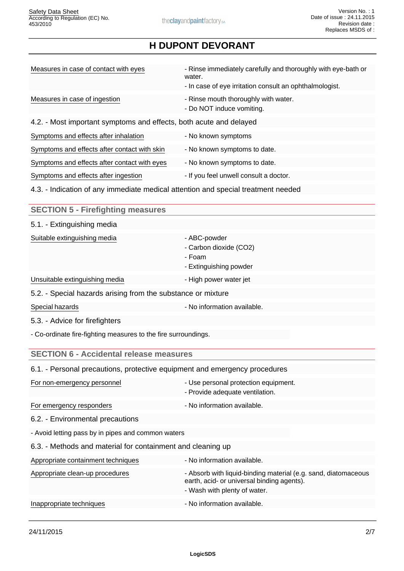| Measures in case of contact with eyes                                             | - Rinse immediately carefully and thoroughly with eye-bath or<br>water.<br>- In case of eye irritation consult an ophthalmologist. |
|-----------------------------------------------------------------------------------|------------------------------------------------------------------------------------------------------------------------------------|
| Measures in case of ingestion                                                     | - Rinse mouth thoroughly with water.<br>- Do NOT induce vomiting.                                                                  |
| 4.2. - Most important symptoms and effects, both acute and delayed                |                                                                                                                                    |
| Symptoms and effects after inhalation                                             | - No known symptoms                                                                                                                |
| Symptoms and effects after contact with skin                                      | - No known symptoms to date.                                                                                                       |
| Symptoms and effects after contact with eyes                                      | - No known symptoms to date.                                                                                                       |
| Symptoms and effects after ingestion                                              | - If you feel unwell consult a doctor.                                                                                             |
| 4.3. - Indication of any immediate medical attention and special treatment needed |                                                                                                                                    |
| <b>SECTION 5 - Firefighting measures</b>                                          |                                                                                                                                    |

| 5.1. - Extinguishing media                                   |                                                                            |
|--------------------------------------------------------------|----------------------------------------------------------------------------|
| Suitable extinguishing media                                 | - ABC-powder<br>- Carbon dioxide (CO2)<br>- Foam<br>- Extinguishing powder |
| Unsuitable extinguishing media                               | - High power water jet                                                     |
| 5.2. - Special hazards arising from the substance or mixture |                                                                            |
| Special hazards                                              | - No information available.                                                |

5.3. - Advice for firefighters

- Co-ordinate fire-fighting measures to the fire surroundings.

# **SECTION 6 - Accidental release measures**

| 6.1. - Personal precautions, protective equipment and emergency procedures |                                                                                                                                              |
|----------------------------------------------------------------------------|----------------------------------------------------------------------------------------------------------------------------------------------|
| For non-emergency personnel                                                | - Use personal protection equipment.<br>- Provide adequate ventilation.                                                                      |
| For emergency responders                                                   | - No information available.                                                                                                                  |
| 6.2. - Environmental precautions                                           |                                                                                                                                              |
| - Avoid letting pass by in pipes and common waters                         |                                                                                                                                              |
| 6.3. - Methods and material for containment and cleaning up                |                                                                                                                                              |
| Appropriate containment techniques                                         | - No information available.                                                                                                                  |
| Appropriate clean-up procedures                                            | - Absorb with liquid-binding material (e.g. sand, diatomaceous<br>earth, acid- or universal binding agents).<br>- Wash with plenty of water. |
| Inappropriate techniques                                                   | - No information available.                                                                                                                  |
|                                                                            |                                                                                                                                              |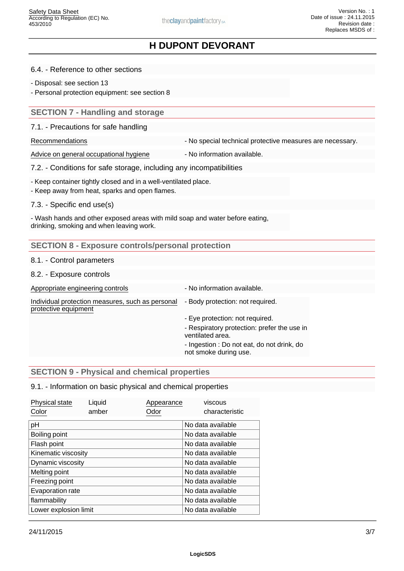#### 6.4. - Reference to other sections

- Disposal: see section 13

- Personal protection equipment: see section 8

## **SECTION 7 - Handling and storage**

7.1. - Precautions for safe handling

Recommendations **Recommendations** - No special technical protective measures are necessary.

Advice on general occupational hygiene - No information available.

7.2. - Conditions for safe storage, including any incompatibilities

- Keep container tightly closed and in a well-ventilated place.

- Keep away from heat, sparks and open flames.

7.3. - Specific end use(s)

- Wash hands and other exposed areas with mild soap and water before eating, drinking, smoking and when leaving work.

# **SECTION 8 - Exposure controls/personal protection**

#### 8.1. - Control parameters

8.2. - Exposure controls

| Appropriate engineering controls                                         | - No information available.                                                                                                                                               |  |
|--------------------------------------------------------------------------|---------------------------------------------------------------------------------------------------------------------------------------------------------------------------|--|
| Individual protection measures, such as personal<br>protective equipment | - Body protection: not required.                                                                                                                                          |  |
|                                                                          | - Eye protection: not required.<br>- Respiratory protection: prefer the use in<br>ventilated area.<br>- Ingestion : Do not eat, do not drink, do<br>not smoke during use. |  |
|                                                                          |                                                                                                                                                                           |  |

# **SECTION 9 - Physical and chemical properties**

## 9.1. - Information on basic physical and chemical properties

| Physical state        | Liquid | Appearance | viscous           |
|-----------------------|--------|------------|-------------------|
| Color                 | amber  | Odor       | characteristic    |
| pH                    |        |            | No data available |
| Boiling point         |        |            | No data available |
| Flash point           |        |            | No data available |
| Kinematic viscosity   |        |            | No data available |
| Dynamic viscosity     |        |            | No data available |
| Melting point         |        |            | No data available |
| Freezing point        |        |            | No data available |
| Evaporation rate      |        |            | No data available |
| flammability          |        |            | No data available |
| Lower explosion limit |        |            | No data available |
|                       |        |            |                   |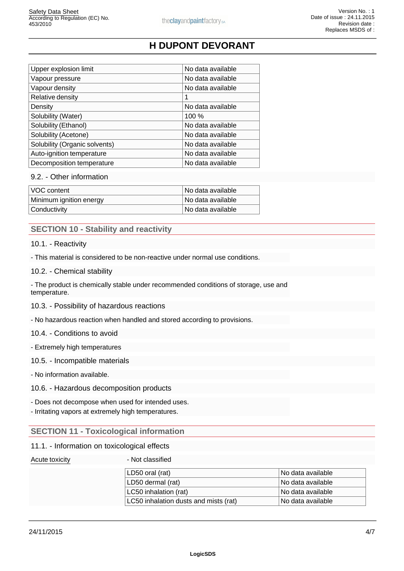| Upper explosion limit         | No data available |
|-------------------------------|-------------------|
| Vapour pressure               | No data available |
| Vapour density                | No data available |
| Relative density              |                   |
| Density                       | No data available |
| Solubility (Water)            | 100 $%$           |
| Solubility (Ethanol)          | No data available |
| Solubility (Acetone)          | No data available |
| Solubility (Organic solvents) | No data available |
| Auto-ignition temperature     | No data available |
| Decomposition temperature     | No data available |

# 9.2. - Other information

| VOC content             | ∣No data available ∶ |
|-------------------------|----------------------|
| Minimum ignition energy | No data available    |
| Conductivity            | l No data available  |

# **SECTION 10 - Stability and reactivity**

#### 10.1. - Reactivity

- This material is considered to be non-reactive under normal use conditions.

#### 10.2. - Chemical stability

- The product is chemically stable under recommended conditions of storage, use and temperature.

#### 10.3. - Possibility of hazardous reactions

- No hazardous reaction when handled and stored according to provisions.

### 10.4. - Conditions to avoid

- Extremely high temperatures

- 10.5. Incompatible materials
- No information available.
- 10.6. Hazardous decomposition products
- Does not decompose when used for intended uses.

- Irritating vapors at extremely high temperatures.

## **SECTION 11 - Toxicological information**

#### 11.1. - Information on toxicological effects

Acute toxicity **Acute toxicity** - Not classified

| LD50 oral (rat)                       | l No data available |
|---------------------------------------|---------------------|
| LD50 dermal (rat)                     | l No data available |
| LC50 inhalation (rat)                 | l No data available |
| LC50 inhalation dusts and mists (rat) | l No data available |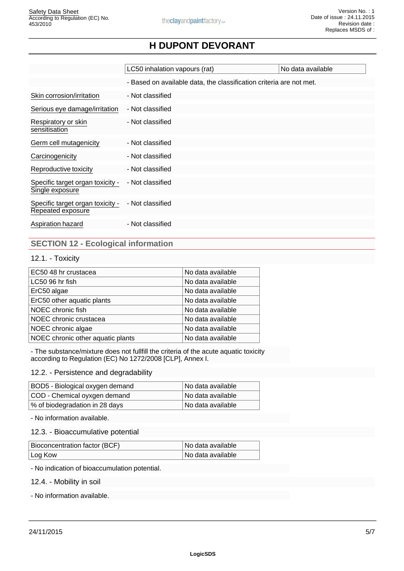|                                                       | LC50 inhalation vapours (rat)                                       | No data available |
|-------------------------------------------------------|---------------------------------------------------------------------|-------------------|
|                                                       | - Based on available data, the classification criteria are not met. |                   |
| Skin corrosion/irritation                             | - Not classified                                                    |                   |
| Serious eye damage/irritation                         | - Not classified                                                    |                   |
| Respiratory or skin<br>sensitisation                  | - Not classified                                                    |                   |
| Germ cell mutagenicity                                | - Not classified                                                    |                   |
| Carcinogenicity                                       | - Not classified                                                    |                   |
| Reproductive toxicity                                 | - Not classified                                                    |                   |
| Specific target organ toxicity -<br>Single exposure   | - Not classified                                                    |                   |
| Specific target organ toxicity -<br>Repeated exposure | - Not classified                                                    |                   |
| Aspiration hazard                                     | - Not classified                                                    |                   |

# **SECTION 12 - Ecological information**

## 12.1. - Toxicity

| EC50 48 hr crustacea              | No data available |
|-----------------------------------|-------------------|
| LC50 96 hr fish                   | No data available |
| ErC50 algae                       | No data available |
| ErC50 other aquatic plants        | No data available |
| NOEC chronic fish                 | No data available |
| NOEC chronic crustacea            | No data available |
| NOEC chronic algae                | No data available |
| NOEC chronic other aquatic plants | No data available |

- The substance/mixture does not fullfill the criteria of the acute aquatic toxicity according to Regulation (EC) No 1272/2008 [CLP], Annex I.

#### 12.2. - Persistence and degradability

| BOD5 - Biological oxygen demand | l No data available l |
|---------------------------------|-----------------------|
| COD - Chemical oyxgen demand    | l No data available   |
| ∣% of biodegradation in 28 days | l No data available l |

- No information available.

#### 12.3. - Bioaccumulative potential

| Bioconcentration factor (BCF) | INo data available |
|-------------------------------|--------------------|
| Log Kow                       | INo data available |

- No indication of bioaccumulation potential.

12.4. - Mobility in soil

- No information available.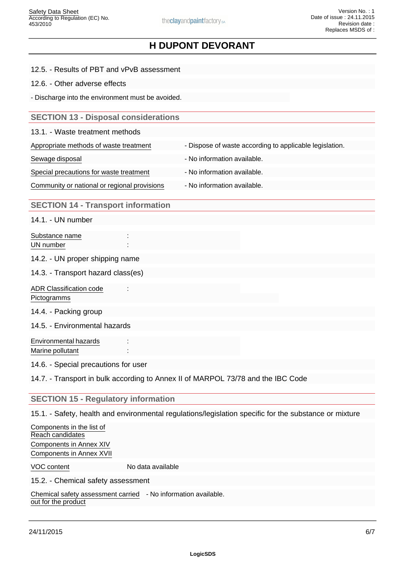- 12.5. Results of PBT and vPvB assessment
- 12.6. Other adverse effects
- Discharge into the environment must be avoided.

## **SECTION 13 - Disposal considerations**

| 13.1. - Waste treatment methods |  |
|---------------------------------|--|
|---------------------------------|--|

| Appropriate methods of waste treatment |
|----------------------------------------|
|----------------------------------------|

Sewage disposal - No information available.

- Dispose of waste according to applicable legislation.

Special precautions for waste treatment - No information available.

Community or national or regional provisions - No information available.

# **SECTION 14 - Transport information**

14.1. - UN number

Substance name

UN number

- 14.2. UN proper shipping name
- 14.3. Transport hazard class(es)

ADR Classification code : Pictogramms

14.4. - Packing group

14.5. - Environmental hazards

Environmental hazards : Marine pollutant

14.6. - Special precautions for user

14.7. - Transport in bulk according to Annex II of MARPOL 73/78 and the IBC Code

## **SECTION 15 - Regulatory information**

15.1. - Safety, health and environmental regulations/legislation specific for the substance or mixture

Components in the list of Reach candidates Components in Annex XIV Components in Annex XVII

VOC content No data available

15.2. - Chemical safety assessment

Chemical safety assessment carried - No information available. out for the product